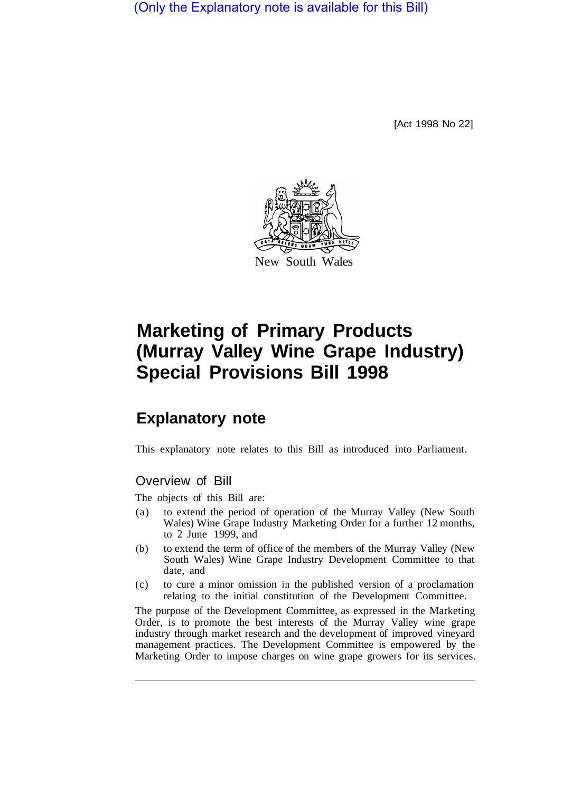(Only the Explanatory note is available for this Bill)

[Act 1998 No 22]



## **Marketing of Primary Products (Murray Valley Wine Grape Industry) Special Provisions Bill 1998**

## **Explanatory note**

This explanatory note relates to this Bill as introduced into Parliament.

## Overview of Bill

The objects of this Bill are:

- (a) to extend the period of operation of the Murray Valley (New South Wales) Wine Grape Industry Marketing Order for a further 12 months, to 2 June 1999, and
- (b) to extend the term of office of the members of the Murray Valley (New South Wales) Wine Grape Industry Development Committee to that date, and
- (c) to cure a minor omission in the published version of a proclamation relating to the initial constitution of the Development Committee.

The purpose of the Development Committee, as expressed in the Marketing Order, is to promote the best interests of the Murray Valley wine grape industry through market research and the development of improved vineyard management practices. The Development Committee is empowered by the Marketing Order to impose charges on wine grape growers for its services.